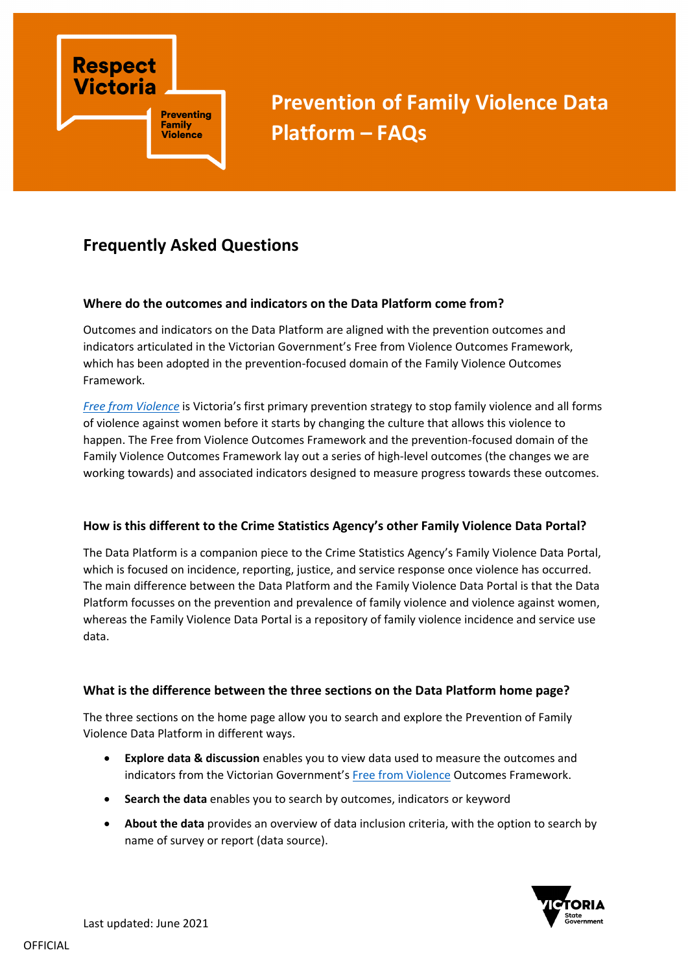

**Prevention of Family Violence Data Platform – FAQs**

# **Frequently Asked Questions**

#### **Where do the outcomes and indicators on the Data Platform come from?**

Outcomes and indicators on the Data Platform are aligned with the prevention outcomes and indicators articulated in the Victorian Government's Free from Violence Outcomes Framework, which has been adopted in the prevention-focused domain of the Family Violence Outcomes Framework.

*[Free from Violence](https://www.vic.gov.au/free-violence-victorias-strategy-prevent-family-violence)* is Victoria's first primary prevention strategy to stop family violence and all forms of violence against women before it starts by changing the culture that allows this violence to happen. The Free from Violence Outcomes Framework and the prevention-focused domain of the Family Violence Outcomes Framework lay out a series of high-level outcomes (the changes we are working towards) and associated indicators designed to measure progress towards these outcomes.

#### **How is this different to the Crime Statistics Agency's other Family Violence Data Portal?**

The Data Platform is a companion piece to the Crime Statistics Agency's Family Violence Data Portal, which is focused on incidence, reporting, justice, and service response once violence has occurred. The main difference between the Data Platform and the Family Violence Data Portal is that the Data Platform focusses on the prevention and prevalence of family violence and violence against women, whereas the Family Violence Data Portal is a repository of family violence incidence and service use data.

#### **What is the difference between the three sections on the Data Platform home page?**

The three sections on the home page allow you to search and explore the Prevention of Family Violence Data Platform in different ways.

- **Explore data & discussion** enables you to view data used to measure the outcomes and indicators from the Victorian Government's [Free from Violence](https://www.vic.gov.au/free-violence-victorias-strategy-prevent-family-violence) Outcomes Framework.
- **Search the data** enables you to search by outcomes, indicators or keyword
- **About the data** provides an overview of data inclusion criteria, with the option to search by name of survey or report (data source).

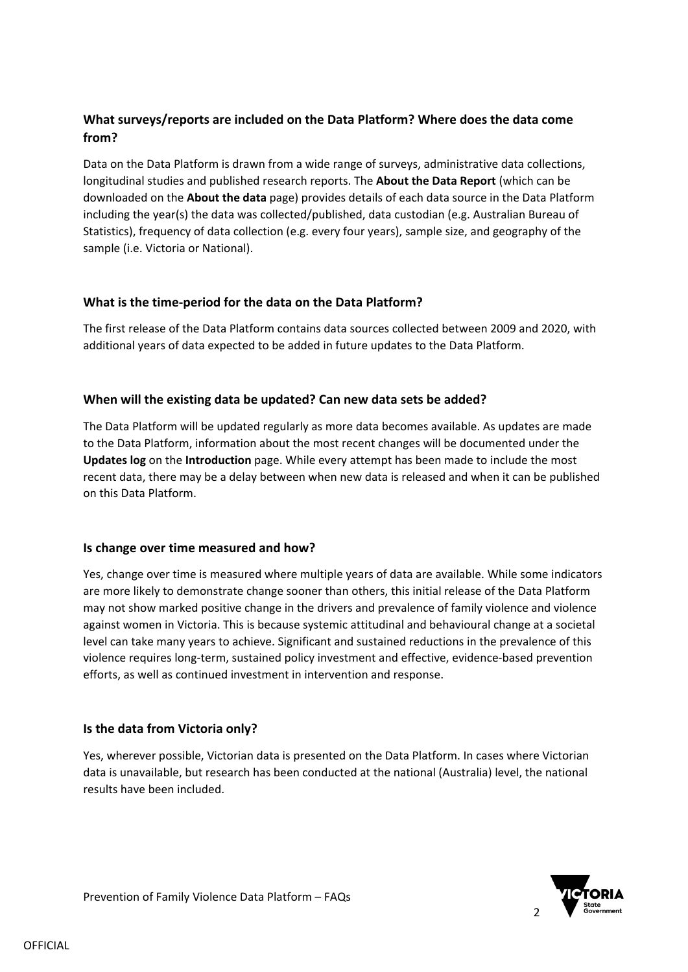# **What surveys/reports are included on the Data Platform? Where does the data come from?**

Data on the Data Platform is drawn from a wide range of surveys, administrative data collections, longitudinal studies and published research reports. The **About the Data Report** (which can be downloaded on the **About the data** page) provides details of each data source in the Data Platform including the year(s) the data was collected/published, data custodian (e.g. Australian Bureau of Statistics), frequency of data collection (e.g. every four years), sample size, and geography of the sample (i.e. Victoria or National).

## **What is the time-period for the data on the Data Platform?**

The first release of the Data Platform contains data sources collected between 2009 and 2020, with additional years of data expected to be added in future updates to the Data Platform.

## **When will the existing data be updated? Can new data sets be added?**

The Data Platform will be updated regularly as more data becomes available. As updates are made to the Data Platform, information about the most recent changes will be documented under the **Updates log** on the **Introduction** page. While every attempt has been made to include the most recent data, there may be a delay between when new data is released and when it can be published on this Data Platform.

#### **Is change over time measured and how?**

Yes, change over time is measured where multiple years of data are available. While some indicators are more likely to demonstrate change sooner than others, this initial release of the Data Platform may not show marked positive change in the drivers and prevalence of family violence and violence against women in Victoria. This is because systemic attitudinal and behavioural change at a societal level can take many years to achieve. Significant and sustained reductions in the prevalence of this violence requires long-term, sustained policy investment and effective, evidence-based prevention efforts, as well as continued investment in intervention and response.

#### **Is the data from Victoria only?**

Yes, wherever possible, Victorian data is presented on the Data Platform. In cases where Victorian data is unavailable, but research has been conducted at the national (Australia) level, the national results have been included.

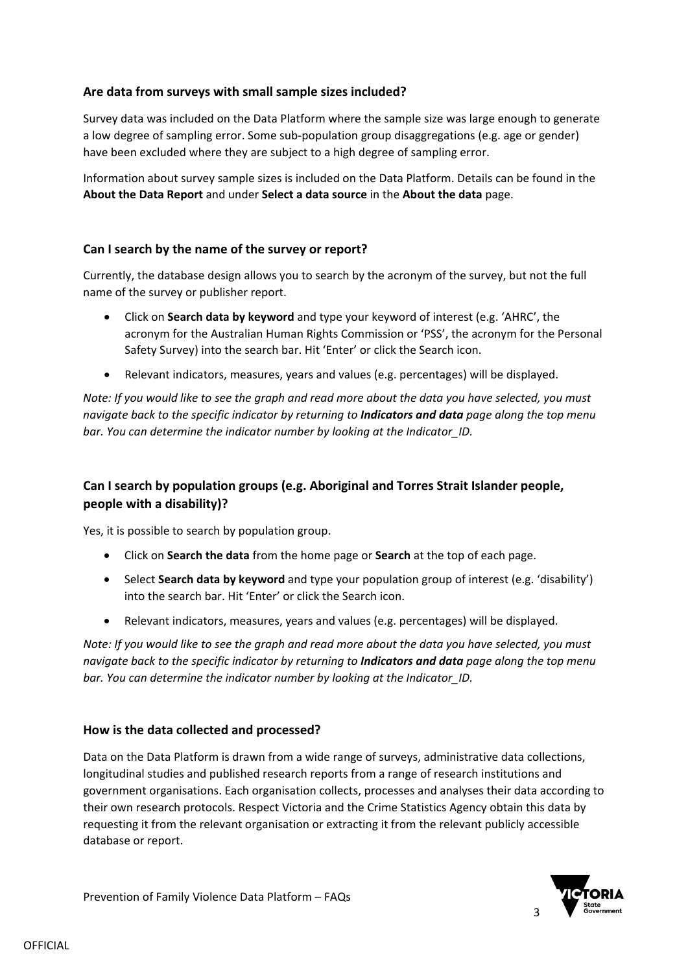## **Are data from surveys with small sample sizes included?**

Survey data was included on the Data Platform where the sample size was large enough to generate a low degree of sampling error. Some sub-population group disaggregations (e.g. age or gender) have been excluded where they are subject to a high degree of sampling error.

Information about survey sample sizes is included on the Data Platform. Details can be found in the **About the Data Report** and under **Select a data source** in the **About the data** page.

#### **Can I search by the name of the survey or report?**

Currently, the database design allows you to search by the acronym of the survey, but not the full name of the survey or publisher report.

- Click on **Search data by keyword** and type your keyword of interest (e.g. 'AHRC', the acronym for the Australian Human Rights Commission or 'PSS', the acronym for the Personal Safety Survey) into the search bar. Hit 'Enter' or click the Search icon.
- Relevant indicators, measures, years and values (e.g. percentages) will be displayed.

*Note: If you would like to see the graph and read more about the data you have selected, you must navigate back to the specific indicator by returning to Indicators and data page along the top menu bar. You can determine the indicator number by looking at the Indicator\_ID.*

# **Can I search by population groups (e.g. Aboriginal and Torres Strait Islander people, people with a disability)?**

Yes, it is possible to search by population group.

- Click on **Search the data** from the home page or **Search** at the top of each page.
- Select **Search data by keyword** and type your population group of interest (e.g. 'disability') into the search bar. Hit 'Enter' or click the Search icon.
- Relevant indicators, measures, years and values (e.g. percentages) will be displayed.

*Note: If you would like to see the graph and read more about the data you have selected, you must navigate back to the specific indicator by returning to Indicators and data page along the top menu bar. You can determine the indicator number by looking at the Indicator\_ID.*

#### **How is the data collected and processed?**

Data on the Data Platform is drawn from a wide range of surveys, administrative data collections, longitudinal studies and published research reports from a range of research institutions and government organisations. Each organisation collects, processes and analyses their data according to their own research protocols. Respect Victoria and the Crime Statistics Agency obtain this data by requesting it from the relevant organisation or extracting it from the relevant publicly accessible database or report.

Prevention of Family Violence Data Platform – FAQs

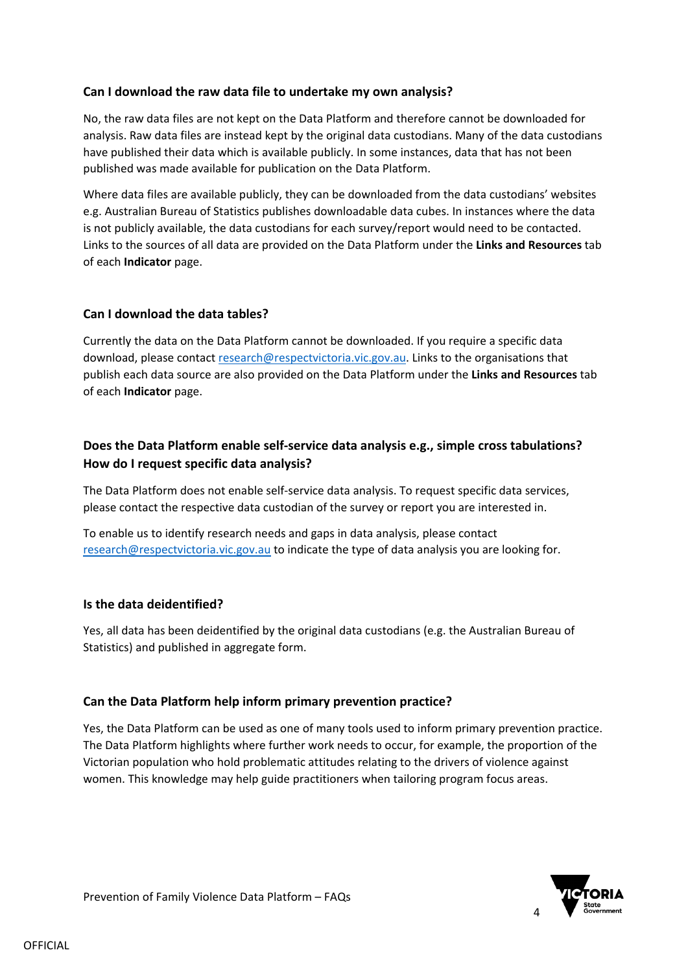#### **Can I download the raw data file to undertake my own analysis?**

No, the raw data files are not kept on the Data Platform and therefore cannot be downloaded for analysis. Raw data files are instead kept by the original data custodians. Many of the data custodians have published their data which is available publicly. In some instances, data that has not been published was made available for publication on the Data Platform.

Where data files are available publicly, they can be downloaded from the data custodians' websites e.g. Australian Bureau of Statistics publishes downloadable data cubes. In instances where the data is not publicly available, the data custodians for each survey/report would need to be contacted. Links to the sources of all data are provided on the Data Platform under the **Links and Resources** tab of each **Indicator** page.

## **Can I download the data tables?**

Currently the data on the Data Platform cannot be downloaded. If you require a specific data download, please contact [research@respectvictoria.vic.gov.au.](mailto:research@respectvictoria.vic.gov.au) Links to the organisations that publish each data source are also provided on the Data Platform under the **Links and Resources** tab of each **Indicator** page.

# **Does the Data Platform enable self-service data analysis e.g., simple cross tabulations? How do I request specific data analysis?**

The Data Platform does not enable self-service data analysis. To request specific data services, please contact the respective data custodian of the survey or report you are interested in.

To enable us to identify research needs and gaps in data analysis, please contact [research@respectvictoria.vic.gov.au](mailto:research@respectvictoria.vic.gov.au) to indicate the type of data analysis you are looking for.

#### **Is the data deidentified?**

Yes, all data has been deidentified by the original data custodians (e.g. the Australian Bureau of Statistics) and published in aggregate form.

#### **Can the Data Platform help inform primary prevention practice?**

Yes, the Data Platform can be used as one of many tools used to inform primary prevention practice. The Data Platform highlights where further work needs to occur, for example, the proportion of the Victorian population who hold problematic attitudes relating to the drivers of violence against women. This knowledge may help guide practitioners when tailoring program focus areas.